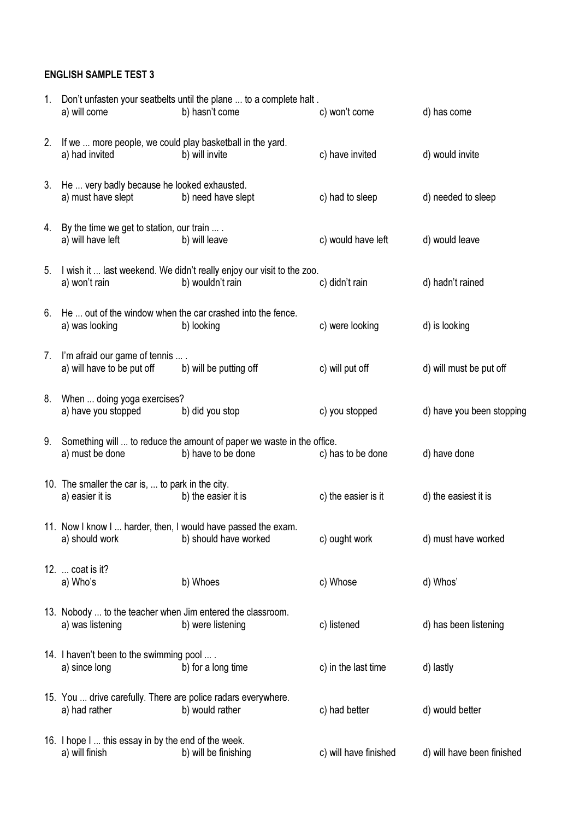## ENGLISH SAMPLE TEST 3

| $1_{-}$ | a) will come                                                                   | Don't unfasten your seatbelts until the plane  to a complete halt.<br>b) hasn't come        | c) won't come         | d) has come                |
|---------|--------------------------------------------------------------------------------|---------------------------------------------------------------------------------------------|-----------------------|----------------------------|
| 2.      | If we  more people, we could play basketball in the yard.<br>a) had invited    | b) will invite                                                                              | c) have invited       | d) would invite            |
| 3.      | He  very badly because he looked exhausted.<br>a) must have slept              | b) need have slept                                                                          | c) had to sleep       | d) needed to sleep         |
|         | 4. By the time we get to station, our train  .<br>a) will have left            | b) will leave                                                                               | c) would have left    | d) would leave             |
| 5.      | a) won't rain                                                                  | I wish it  last weekend. We didn't really enjoy our visit to the zoo.<br>b) wouldn't rain   | c) didn't rain        | d) hadn't rained           |
| 6.      | a) was looking                                                                 | He  out of the window when the car crashed into the fence.<br>b) looking                    | c) were looking       | d) is looking              |
| 7.      | I'm afraid our game of tennis  .<br>a) will have to be put off                 | b) will be putting off                                                                      | c) will put off       | d) will must be put off    |
| 8.      | When  doing yoga exercises?<br>a) have you stopped                             | b) did you stop                                                                             | c) you stopped        | d) have you been stopping  |
| 9.      | a) must be done                                                                | Something will  to reduce the amount of paper we waste in the office.<br>b) have to be done | c) has to be done     | d) have done               |
|         | 10. The smaller the car is,  to park in the city.<br>a) easier it is           | b) the easier it is                                                                         | c) the easier is it   | d) the easiest it is       |
|         | a) should work                                                                 | 11. Now I know I  harder, then, I would have passed the exam.<br>b) should have worked      | c) ought work         | d) must have worked        |
|         | 12.  coat is it?<br>a) Who's                                                   | b) Whoes                                                                                    | c) Whose              | d) Whos'                   |
|         | 13. Nobody  to the teacher when Jim entered the classroom.<br>a) was listening | b) were listening                                                                           | c) listened           | d) has been listening      |
|         | 14. I haven't been to the swimming pool<br>a) since long                       | b) for a long time                                                                          | c) in the last time   | d) lastly                  |
|         | 15. You  drive carefully. There are police radars everywhere.<br>a) had rather | b) would rather                                                                             | c) had better         | d) would better            |
|         | 16. I hope I  this essay in by the end of the week.<br>a) will finish          | b) will be finishing                                                                        | c) will have finished | d) will have been finished |